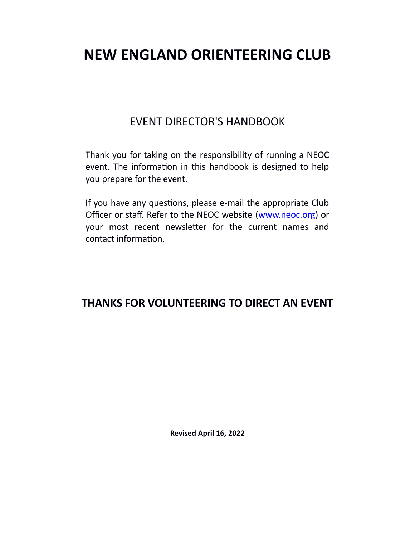# **NEW ENGLAND ORIENTEERING CLUB**

## EVENT DIRECTOR'S HANDBOOK

Thank you for taking on the responsibility of running a NEOC event. The information in this handbook is designed to help you prepare for the event.

If you have any questions, please e-mail the appropriate Club Officer or staff. Refer to the NEOC website [\(www.neoc.org](http://www.neoc.org/)) or your most recent newsletter for the current names and contact information.

## **THANKS FOR VOLUNTEERING TO DIRECT AN EVENT**

**Revised April 16, 2022**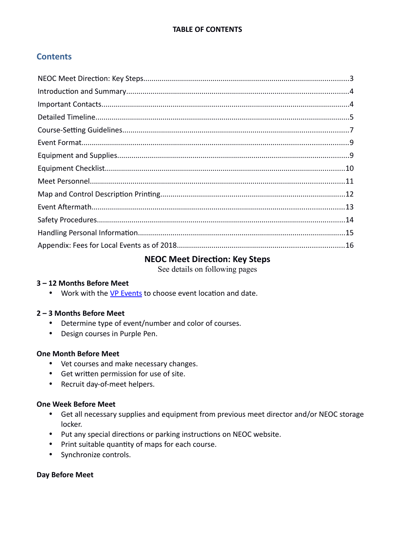## **Contents**

#### <span id="page-1-0"></span>**NEOC Meet Direction: Key Steps**

See details on following pages

#### **3 – 12 Months Before Meet**

• Work with the [VP Events](http://www.newenglandorienteering.org/about-neoc/board-of-directors) to choose event location and date.

#### **2 – 3 Months Before Meet**

- Determine type of event/number and color of courses.
- Design courses in Purple Pen.

#### **One Month Before Meet**

- Vet courses and make necessary changes.
- Get written permission for use of site.
- Recruit day-of-meet helpers.

#### **One Week Before Meet**

- Get all necessary supplies and equipment from previous meet director and/or NEOC storage locker.
- Put any special directions or parking instructions on NEOC website.
- Print suitable quantity of maps for each course.
- Synchronize controls.

#### **Day Before Meet**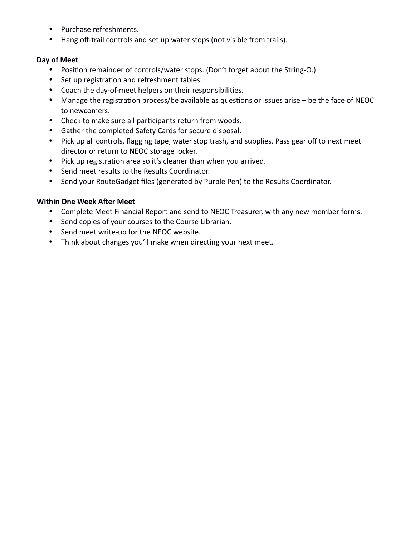- Purchase refreshments.
- Hang off-trail controls and set up water stops (not visible from trails).

#### **Day of Meet**

- Position remainder of controls/water stops. (Don't forget about the String-O.)
- Set up registration and refreshment tables.
- Coach the day-of-meet helpers on their responsibilities.
- Manage the registration process/be available as questions or issues arise be the face of NEOC to newcomers.
- Check to make sure all participants return from woods.
- Gather the completed Safety Cards for secure disposal.
- Pick up all controls, flagging tape, water stop trash, and supplies. Pass gear off to next meet director or return to NEOC storage locker.
- Pick up registration area so it's cleaner than when you arrived.
- Send meet results to the Results Coordinator.
- Send your RouteGadget files (generated by Purple Pen) to the Results Coordinator.

#### **Within One Week After Meet**

- Complete Meet Financial Report and send to NEOC Treasurer, with any new member forms.
- Send copies of your courses to the Course Librarian.
- Send meet write-up for the NEOC website.
- Think about changes you'll make when directing your next meet.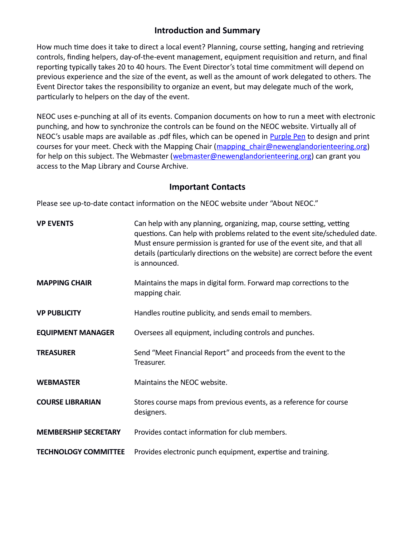## <span id="page-3-0"></span>**Introduction and Summary**

How much time does it take to direct a local event? Planning, course setting, hanging and retrieving controls, finding helpers, day-of-the-event management, equipment requisition and return, and final reporting typically takes 20 to 40 hours. The Event Director's total time commitment will depend on previous experience and the size of the event, as well as the amount of work delegated to others. The Event Director takes the responsibility to organize an event, but may delegate much of the work, particularly to helpers on the day of the event.

NEOC uses e-punching at all of its events. Companion documents on how to run a meet with electronic punching, and how to synchronize the controls can be found on the NEOC website. Virtually all of NEOC's usable maps are available as .pdf files, which can be opened in [Purple Pen](http://purplepen.golde.org/) to design and print courses for your meet. Check with the Mapping Chair (mapping chair@newenglandorienteering.org) for help on this subject. The Webmaster [\(webmaster@newenglandorienteering.org\)](mailto:webmaster@newenglandorienteering.org) can grant you access to the Map Library and Course Archive.

## <span id="page-3-1"></span>**Important Contacts**

Please see up-to-date contact information on the NEOC website under "About NEOC."

| <b>VP EVENTS</b>            | Can help with any planning, organizing, map, course setting, vetting<br>questions. Can help with problems related to the event site/scheduled date.<br>Must ensure permission is granted for use of the event site, and that all<br>details (particularly directions on the website) are correct before the event<br>is announced. |
|-----------------------------|------------------------------------------------------------------------------------------------------------------------------------------------------------------------------------------------------------------------------------------------------------------------------------------------------------------------------------|
| <b>MAPPING CHAIR</b>        | Maintains the maps in digital form. Forward map corrections to the<br>mapping chair.                                                                                                                                                                                                                                               |
| <b>VP PUBLICITY</b>         | Handles routine publicity, and sends email to members.                                                                                                                                                                                                                                                                             |
| <b>EQUIPMENT MANAGER</b>    | Oversees all equipment, including controls and punches.                                                                                                                                                                                                                                                                            |
| <b>TREASURER</b>            | Send "Meet Financial Report" and proceeds from the event to the<br>Treasurer.                                                                                                                                                                                                                                                      |
| <b>WEBMASTER</b>            | Maintains the NEOC website.                                                                                                                                                                                                                                                                                                        |
| <b>COURSE LIBRARIAN</b>     | Stores course maps from previous events, as a reference for course<br>designers.                                                                                                                                                                                                                                                   |
| <b>MEMBERSHIP SECRETARY</b> | Provides contact information for club members.                                                                                                                                                                                                                                                                                     |
| <b>TECHNOLOGY COMMITTEE</b> | Provides electronic punch equipment, expertise and training.                                                                                                                                                                                                                                                                       |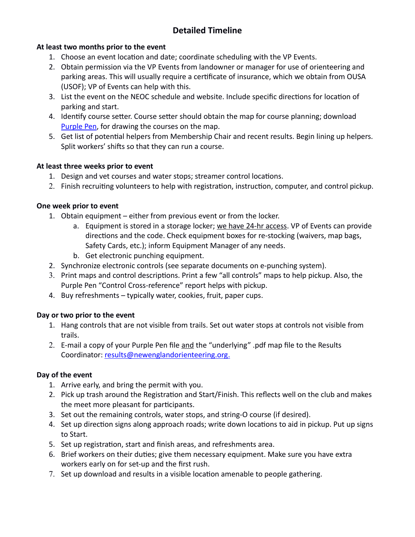## <span id="page-4-0"></span>**Detailed Timeline**

#### **At least two months prior to the event**

- 1. Choose an event location and date; coordinate scheduling with the VP Events.
- 2. Obtain permission via the VP Events from landowner or manager for use of orienteering and parking areas. This will usually require a certificate of insurance, which we obtain from OUSA (USOF); VP of Events can help with this.
- 3. List the event on the NEOC schedule and website. Include specific directions for location of parking and start.
- 4. Identify course setter. Course setter should obtain the map for course planning; download [Purple Pen,](http://purplepen.golde.org/) for drawing the courses on the map.
- 5. Get list of potential helpers from Membership Chair and recent results. Begin lining up helpers. Split workers' shifts so that they can run a course.

#### **At least three weeks prior to event**

- 1. Design and vet courses and water stops; streamer control locations.
- 2. Finish recruiting volunteers to help with registration, instruction, computer, and control pickup.

#### **One week prior to event**

- 1. Obtain equipment either from previous event or from the locker.
	- a. Equipment is stored in a storage locker; we have 24-hr access. VP of Events can provide directions and the code. Check equipment boxes for re-stocking (waivers, map bags, Safety Cards, etc.); inform Equipment Manager of any needs.
	- b. Get electronic punching equipment.
- 2. Synchronize electronic controls (see separate documents on e-punching system).
- 3. Print maps and control descriptions. Print a few "all controls" maps to help pickup. Also, the Purple Pen "Control Cross-reference" report helps with pickup.
- 4. Buy refreshments typically water, cookies, fruit, paper cups.

### **Day or two prior to the event**

- 1. Hang controls that are not visible from trails. Set out water stops at controls not visible from trails.
- 2. E-mail a copy of your Purple Pen file and the "underlying" .pdf map file to the Results Coordinator: results@newenglandorienteering.org.

#### **Day of the event**

- 1. Arrive early, and bring the permit with you.
- 2. Pick up trash around the Registration and Start/Finish. This reflects well on the club and makes the meet more pleasant for participants.
- 3. Set out the remaining controls, water stops, and string-O course (if desired).
- 4. Set up direction signs along approach roads; write down locations to aid in pickup. Put up signs to Start.
- 5. Set up registration, start and finish areas, and refreshments area.
- 6. Brief workers on their duties; give them necessary equipment. Make sure you have extra workers early on for set-up and the first rush.
- 7. Set up download and results in a visible location amenable to people gathering.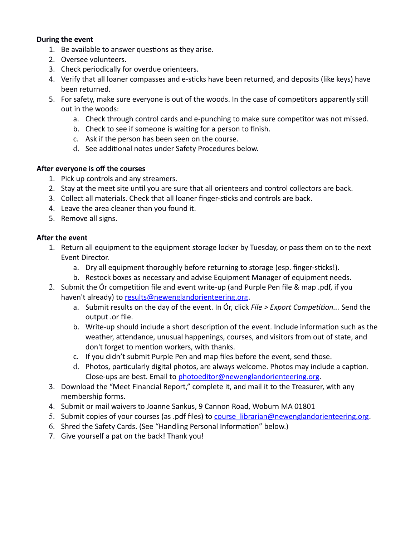#### **During the event**

- 1. Be available to answer questions as they arise.
- 2. Oversee volunteers.
- 3. Check periodically for overdue orienteers.
- 4. Verify that all loaner compasses and e-sticks have been returned, and deposits (like keys) have been returned.
- 5. For safety, make sure everyone is out of the woods. In the case of competitors apparently still out in the woods:
	- a. Check through control cards and e-punching to make sure competitor was not missed.
	- b. Check to see if someone is waiting for a person to finish.
	- c. Ask if the person has been seen on the course.
	- d. See additional notes under Safety Procedures below.

#### **After everyone is off the courses**

- 1. Pick up controls and any streamers.
- 2. Stay at the meet site until you are sure that all orienteers and control collectors are back.
- 3. Collect all materials. Check that all loaner finger-sticks and controls are back.
- 4. Leave the area cleaner than you found it.
- 5. Remove all signs.

#### **After the event**

- 1. Return all equipment to the equipment storage locker by Tuesday, or pass them on to the next Event Director.
	- a. Dry all equipment thoroughly before returning to storage (esp. finger-sticks!).
	- b. Restock boxes as necessary and advise Equipment Manager of equipment needs.
- 2. Submit the Ór competition file and event write-up (and Purple Pen file & map .pdf, if you haven't already) to [results@newenglandorienteering.org](mailto:results@newenglandorienteering.org).
	- a. Submit results on the day of the event. In Ór, click *File > Export Competition...* Send the output .or file.
	- b. Write-up should include a short description of the event. Include information such as the weather, attendance, unusual happenings, courses, and visitors from out of state, and don't forget to mention workers, with thanks.
	- c. If you didn't submit Purple Pen and map files before the event, send those.
	- d. Photos, particularly digital photos, are always welcome. Photos may include a caption. Close-ups are best. Email to [photoeditor@newenglandorienteering.org](mailto:photoeditor@newenglandorienteering.org).
- 3. Download the "Meet Financial Report," complete it, and mail it to the Treasurer, with any membership forms.
- 4. Submit or mail waivers to Joanne Sankus, 9 Cannon Road, Woburn MA 01801
- 5. Submit copies of your courses (as .pdf files) to course librarian@newenglandorienteering.org.
- 6. Shred the Safety Cards. (See "Handling Personal Information" below.)
- 7. Give yourself a pat on the back! Thank you!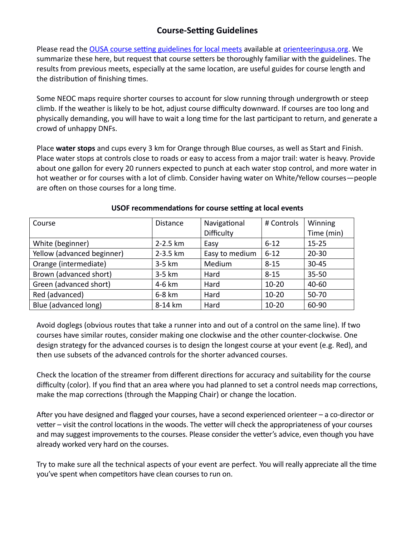## <span id="page-6-0"></span>**Course-Setting Guidelines**

Please read the [OUSA course setting guidelines for local meets](http://orienteeringusa.org/sites/default/files/courseguide-local.pdf) available at [orienteeringusa.org.](http://orienteeringusa.org/) We summarize these here, but request that course setters be thoroughly familiar with the guidelines. The results from previous meets, especially at the same location, are useful guides for course length and the distribution of finishing times.

Some NEOC maps require shorter courses to account for slow running through undergrowth or steep climb. If the weather is likely to be hot, adjust course difficulty downward. If courses are too long and physically demanding, you will have to wait a long time for the last participant to return, and generate a crowd of unhappy DNFs.

Place **water stops** and cups every 3 km for Orange through Blue courses, as well as Start and Finish. Place water stops at controls close to roads or easy to access from a major trail: water is heavy. Provide about one gallon for every 20 runners expected to punch at each water stop control, and more water in hot weather or for courses with a lot of climb. Consider having water on White/Yellow courses―people are often on those courses for a long time.

| Course                     | <b>Distance</b> | Navigational   | # Controls | Winning    |
|----------------------------|-----------------|----------------|------------|------------|
|                            |                 | Difficulty     |            | Time (min) |
| White (beginner)           | $2 - 2.5$ km    | Easy           | $6 - 12$   | $15 - 25$  |
| Yellow (advanced beginner) | $2 - 3.5$ km    | Easy to medium | $6 - 12$   | $20 - 30$  |
| Orange (intermediate)      | 3-5 km          | Medium         | $8 - 15$   | $30 - 45$  |
| Brown (advanced short)     | 3-5 km          | Hard           | $8 - 15$   | $35 - 50$  |
| Green (advanced short)     | 4-6 km          | Hard           | $10 - 20$  | 40-60      |
| Red (advanced)             | 6-8 km          | Hard           | $10 - 20$  | 50-70      |
| Blue (advanced long)       | 8-14 km         | Hard           | $10 - 20$  | 60-90      |

#### **USOF recommendations for course setting at local events**

Avoid doglegs (obvious routes that take a runner into and out of a control on the same line). If two courses have similar routes, consider making one clockwise and the other counter-clockwise. One design strategy for the advanced courses is to design the longest course at your event (e.g. Red), and then use subsets of the advanced controls for the shorter advanced courses.

Check the location of the streamer from different directions for accuracy and suitability for the course difficulty (color). If you find that an area where you had planned to set a control needs map corrections, make the map corrections (through the Mapping Chair) or change the location.

After you have designed and flagged your courses, have a second experienced orienteer – a co-director or vetter – visit the control locations in the woods. The vetter will check the appropriateness of your courses and may suggest improvements to the courses. Please consider the vetter's advice, even though you have already worked very hard on the courses.

Try to make sure all the technical aspects of your event are perfect. You will really appreciate all the time you've spent when competitors have clean courses to run on.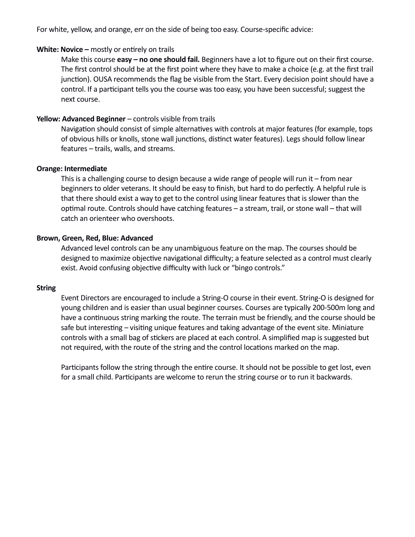For white, yellow, and orange, err on the side of being too easy. Course-specific advice:

#### **White: Novice –** mostly or entirely on trails

Make this course **easy – no one should fail.** Beginners have a lot to figure out on their first course. The first control should be at the first point where they have to make a choice (e.g. at the first trail junction). OUSA recommends the flag be visible from the Start. Every decision point should have a control. If a participant tells you the course was too easy, you have been successful; suggest the next course.

#### **Yellow: Advanced Beginner** – controls visible from trails

Navigation should consist of simple alternatives with controls at major features (for example, tops of obvious hills or knolls, stone wall junctions, distinct water features). Legs should follow linear features – trails, walls, and streams.

#### **Orange: Intermediate**

This is a challenging course to design because a wide range of people will run it – from near beginners to older veterans. It should be easy to finish, but hard to do perfectly. A helpful rule is that there should exist a way to get to the control using linear features that is slower than the optimal route. Controls should have catching features – a stream, trail, or stone wall – that will catch an orienteer who overshoots.

#### **Brown, Green, Red, Blue: Advanced**

Advanced level controls can be any unambiguous feature on the map. The courses should be designed to maximize objective navigational difficulty; a feature selected as a control must clearly exist. Avoid confusing objective difficulty with luck or "bingo controls."

#### **String**

Event Directors are encouraged to include a String-O course in their event. String-O is designed for young children and is easier than usual beginner courses. Courses are typically 200-500m long and have a continuous string marking the route. The terrain must be friendly, and the course should be safe but interesting – visiting unique features and taking advantage of the event site. Miniature controls with a small bag of stickers are placed at each control. A simplified map is suggested but not required, with the route of the string and the control locations marked on the map.

Participants follow the string through the entire course. It should not be possible to get lost, even for a small child. Participants are welcome to rerun the string course or to run it backwards.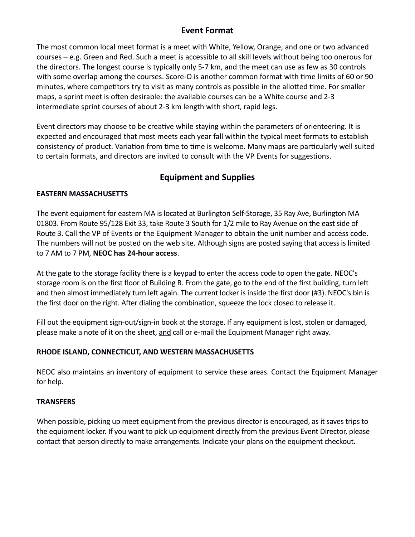## <span id="page-8-0"></span>**Event Format**

The most common local meet format is a meet with White, Yellow, Orange, and one or two advanced courses – e.g. Green and Red. Such a meet is accessible to all skill levels without being too onerous for the directors. The longest course is typically only 5-7 km, and the meet can use as few as 30 controls with some overlap among the courses. Score-O is another common format with time limits of 60 or 90 minutes, where competitors try to visit as many controls as possible in the allotted time. For smaller maps, a sprint meet is often desirable: the available courses can be a White course and 2-3 intermediate sprint courses of about 2-3 km length with short, rapid legs.

Event directors may choose to be creative while staying within the parameters of orienteering. It is expected and encouraged that most meets each year fall within the typical meet formats to establish consistency of product. Variation from time to time is welcome. Many maps are particularly well suited to certain formats, and directors are invited to consult with the VP Events for suggestions.

## <span id="page-8-1"></span>**Equipment and Supplies**

#### **EASTERN MASSACHUSETTS**

The event equipment for eastern MA is located at Burlington Self-Storage, 35 Ray Ave, Burlington MA 01803. From Route 95/128 Exit 33, take Route 3 South for 1/2 mile to Ray Avenue on the east side of Route 3. Call the VP of Events or the Equipment Manager to obtain the unit number and access code. The numbers will not be posted on the web site. Although signs are posted saying that access is limited to 7 AM to 7 PM, **NEOC has 24-hour access**.

At the gate to the storage facility there is a keypad to enter the access code to open the gate. NEOC's storage room is on the first floor of Building B. From the gate, go to the end of the first building, turn left and then almost immediately turn left again. The current locker is inside the first door (#3). NEOC's bin is the first door on the right. After dialing the combination, squeeze the lock closed to release it.

Fill out the equipment sign-out/sign-in book at the storage. If any equipment is lost, stolen or damaged, please make a note of it on the sheet, and call or e-mail the Equipment Manager right away.

#### **RHODE ISLAND, CONNECTICUT, AND WESTERN MASSACHUSETTS**

NEOC also maintains an inventory of equipment to service these areas. Contact the Equipment Manager for help.

#### **TRANSFERS**

When possible, picking up meet equipment from the previous director is encouraged, as it saves trips to the equipment locker. If you want to pick up equipment directly from the previous Event Director, please contact that person directly to make arrangements. Indicate your plans on the equipment checkout.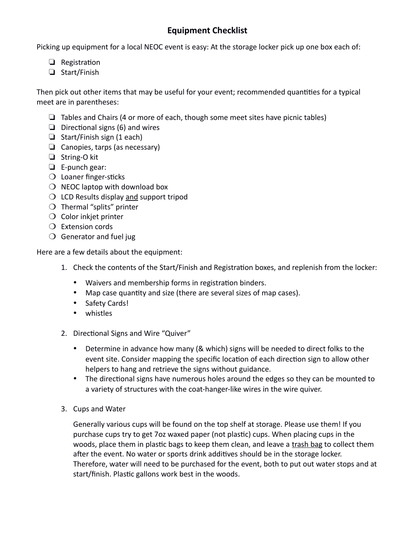## <span id="page-9-0"></span>**Equipment Checklist**

Picking up equipment for a local NEOC event is easy: At the storage locker pick up one box each of:

- ❏ Registration
- ❏ Start/Finish

Then pick out other items that may be useful for your event; recommended quantities for a typical meet are in parentheses:

- ❏ Tables and Chairs (4 or more of each, though some meet sites have picnic tables)
- ❏ Directional signs (6) and wires
- ❏ Start/Finish sign (1 each)
- ❏ Canopies, tarps (as necessary)
- ❏ String-O kit
- ❏ E-punch gear:
- ❍ Loaner finger-sticks
- $\bigcirc$  NEOC laptop with download box
- $\bigcirc$  LCD Results display and support tripod
- ❍ Thermal "splits" printer
- ❍ Color inkjet printer
- ❍ Extension cords
- $\bigcirc$  Generator and fuel jug

Here are a few details about the equipment:

- 1. Check the contents of the Start/Finish and Registration boxes, and replenish from the locker:
	- Waivers and membership forms in registration binders.
	- Map case quantity and size (there are several sizes of map cases).
	- Safety Cards!
	- whistles
- 2. Directional Signs and Wire "Quiver"
	- Determine in advance how many (& which) signs will be needed to direct folks to the event site. Consider mapping the specific location of each direction sign to allow other helpers to hang and retrieve the signs without guidance.
	- The directional signs have numerous holes around the edges so they can be mounted to a variety of structures with the coat-hanger-like wires in the wire quiver.
- 3. Cups and Water

Generally various cups will be found on the top shelf at storage. Please use them! If you purchase cups try to get 7oz waxed paper (not plastic) cups. When placing cups in the woods, place them in plastic bags to keep them clean, and leave a trash bag to collect them after the event. No water or sports drink additives should be in the storage locker. Therefore, water will need to be purchased for the event, both to put out water stops and at start/finish. Plastic gallons work best in the woods.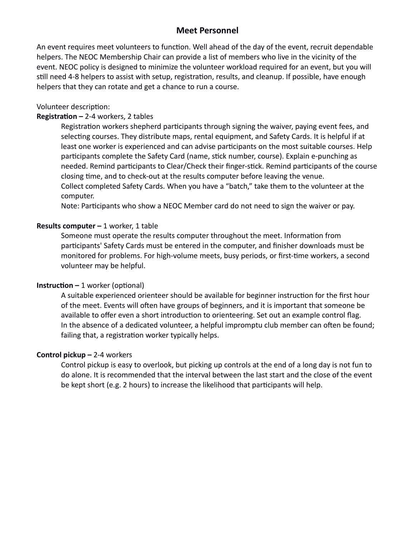### <span id="page-10-0"></span>**Meet Personnel**

An event requires meet volunteers to function. Well ahead of the day of the event, recruit dependable helpers. The NEOC Membership Chair can provide a list of members who live in the vicinity of the event. NEOC policy is designed to minimize the volunteer workload required for an event, but you will still need 4-8 helpers to assist with setup, registration, results, and cleanup. If possible, have enough helpers that they can rotate and get a chance to run a course.

#### Volunteer description:

#### **Registration –** 2-4 workers, 2 tables

Registration workers shepherd participants through signing the waiver, paying event fees, and selecting courses. They distribute maps, rental equipment, and Safety Cards. It is helpful if at least one worker is experienced and can advise participants on the most suitable courses. Help participants complete the Safety Card (name, stick number, course). Explain e-punching as needed. Remind participants to Clear/Check their finger-stick. Remind participants of the course closing time, and to check-out at the results computer before leaving the venue. Collect completed Safety Cards. When you have a "batch," take them to the volunteer at the computer.

Note: Participants who show a NEOC Member card do not need to sign the waiver or pay.

#### **Results computer –** 1 worker, 1 table

Someone must operate the results computer throughout the meet. Information from participants' Safety Cards must be entered in the computer, and finisher downloads must be monitored for problems. For high-volume meets, busy periods, or first-time workers, a second volunteer may be helpful.

#### **Instruction –** 1 worker (optional)

A suitable experienced orienteer should be available for beginner instruction for the first hour of the meet. Events will often have groups of beginners, and it is important that someone be available to offer even a short introduction to orienteering. Set out an example control flag. In the absence of a dedicated volunteer, a helpful impromptu club member can often be found; failing that, a registration worker typically helps.

#### **Control pickup –** 2-4 workers

Control pickup is easy to overlook, but picking up controls at the end of a long day is not fun to do alone. It is recommended that the interval between the last start and the close of the event be kept short (e.g. 2 hours) to increase the likelihood that participants will help.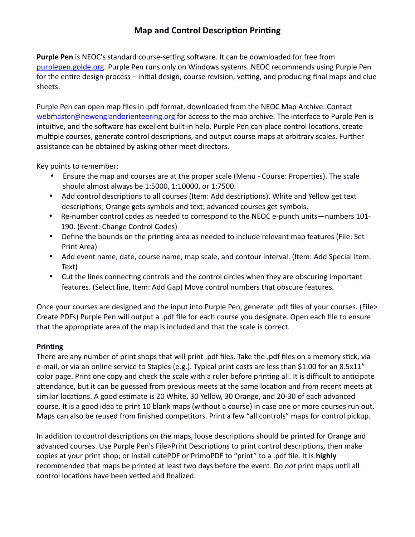## <span id="page-11-0"></span>**Map and Control Description Printing**

**Purple Pen** is NEOC's standard course-setting software. It can be downloaded for free from [purplepen.golde.org.](http://purplepen.golde.org/) Purple Pen runs only on Windows systems. NEOC recommends using Purple Pen for the entire design process – initial design, course revision, vetting, and producing final maps and clue sheets.

Purple Pen can open map files in .pdf format, downloaded from the NEOC Map Archive. Contact [webmaster@newenglandorienteering.org](mailto:webmaster@newenglandorienteering.org) for access to the map archive. The interface to Purple Pen is intuitive, and the software has excellent built-in help. Purple Pen can place control locations, create multiple courses, generate control descriptions, and output course maps at arbitrary scales. Further assistance can be obtained by asking other meet directors.

Key points to remember:

- Ensure the map and courses are at the proper scale (Menu Course: Properties). The scale should almost always be 1:5000, 1:10000, or 1:7500.
- Add control descriptions to all courses (Item: Add descriptions). White and Yellow get text descriptions; Orange gets symbols and text; advanced courses get symbols.
- Re-number control codes as needed to correspond to the NEOC e-punch units―numbers 101- 190. (Event: Change Control Codes)
- Define the bounds on the printing area as needed to include relevant map features (File: Set Print Area)
- Add event name, date, course name, map scale, and contour interval. (Item: Add Special Item: Text)
- Cut the lines connecting controls and the control circles when they are obscuring important features. (Select line, Item: Add Gap) Move control numbers that obscure features.

Once your courses are designed and the input into Purple Pen, generate .pdf files of your courses. (File> Create PDFs) Purple Pen will output a .pdf file for each course you designate. Open each file to ensure that the appropriate area of the map is included and that the scale is correct.

### **Printing**

There are any number of print shops that will print .pdf files. Take the .pdf files on a memory stick, via e-mail, or via an online service to Staples (e.g.). Typical print costs are less than \$1.00 for an 8.5x11" color page. Print one copy and check the scale with a ruler before printing all. It is difficult to anticipate attendance, but it can be guessed from previous meets at the same location and from recent meets at similar locations. A good estimate is 20 White, 30 Yellow, 30 Orange, and 20-30 of each advanced course. It is a good idea to print 10 blank maps (without a course) in case one or more courses run out. Maps can also be reused from finished competitors. Print a few "all controls" maps for control pickup.

In addition to control descriptions on the maps, loose descriptions should be printed for Orange and advanced courses. Use Purple Pen's File>Print Descriptions to print control descriptions, then make copies at your print shop; or install cutePDF or PrimoPDF to "print" to a .pdf file. It is **highly** recommended that maps be printed at least two days before the event. Do *not* print maps until all control locations have been vetted and finalized.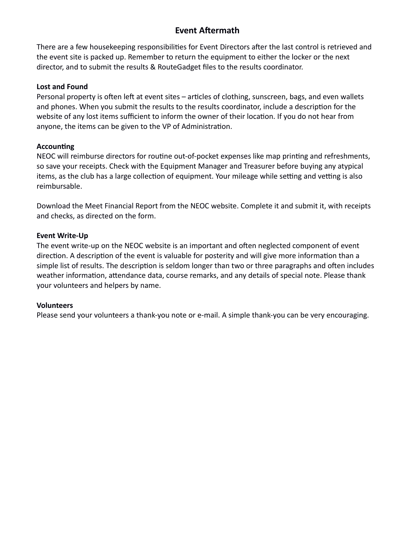## <span id="page-12-0"></span>**Event Aftermath**

There are a few housekeeping responsibilities for Event Directors after the last control is retrieved and the event site is packed up. Remember to return the equipment to either the locker or the next director, and to submit the results & RouteGadget files to the results coordinator.

#### **Lost and Found**

Personal property is often left at event sites – articles of clothing, sunscreen, bags, and even wallets and phones. When you submit the results to the results coordinator, include a description for the website of any lost items sufficient to inform the owner of their location. If you do not hear from anyone, the items can be given to the VP of Administration.

#### **Accounting**

NEOC will reimburse directors for routine out-of-pocket expenses like map printing and refreshments, so save your receipts. Check with the Equipment Manager and Treasurer before buying any atypical items, as the club has a large collection of equipment. Your mileage while setting and vetting is also reimbursable.

Download the Meet Financial Report from the NEOC website. Complete it and submit it, with receipts and checks, as directed on the form.

#### **Event Write-Up**

The event write-up on the NEOC website is an important and often neglected component of event direction. A description of the event is valuable for posterity and will give more information than a simple list of results. The description is seldom longer than two or three paragraphs and often includes weather information, attendance data, course remarks, and any details of special note. Please thank your volunteers and helpers by name.

#### **Volunteers**

Please send your volunteers a thank-you note or e-mail. A simple thank-you can be very encouraging.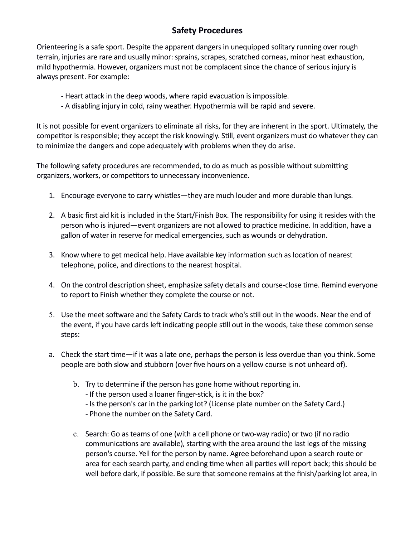## <span id="page-13-0"></span>**Safety Procedures**

Orienteering is a safe sport. Despite the apparent dangers in unequipped solitary running over rough terrain, injuries are rare and usually minor: sprains, scrapes, scratched corneas, minor heat exhaustion, mild hypothermia. However, organizers must not be complacent since the chance of serious injury is always present. For example:

- Heart attack in the deep woods, where rapid evacuation is impossible.
- A disabling injury in cold, rainy weather. Hypothermia will be rapid and severe.

It is not possible for event organizers to eliminate all risks, for they are inherent in the sport. Ultimately, the competitor is responsible; they accept the risk knowingly. Still, event organizers must do whatever they can to minimize the dangers and cope adequately with problems when they do arise.

The following safety procedures are recommended, to do as much as possible without submitting organizers, workers, or competitors to unnecessary inconvenience.

- 1. Encourage everyone to carry whistles—they are much louder and more durable than lungs.
- 2. A basic first aid kit is included in the Start/Finish Box. The responsibility for using it resides with the person who is injured―event organizers are not allowed to practice medicine. In addition, have a gallon of water in reserve for medical emergencies, such as wounds or dehydration.
- 3. Know where to get medical help. Have available key information such as location of nearest telephone, police, and directions to the nearest hospital.
- 4. On the control description sheet, emphasize safety details and course-close time. Remind everyone to report to Finish whether they complete the course or not.
- 5. Use the meet software and the Safety Cards to track who's still out in the woods. Near the end of the event, if you have cards left indicating people still out in the woods, take these common sense steps:
- a. Check the start time―if it was a late one, perhaps the person is less overdue than you think. Some people are both slow and stubborn (over five hours on a yellow course is not unheard of).
	- b. Try to determine if the person has gone home without reporting in.
		- If the person used a loaner finger-stick, is it in the box?
		- Is the person's car in the parking lot? (License plate number on the Safety Card.)
		- Phone the number on the Safety Card.
	- c. Search: Go as teams of one (with a cell phone or two-way radio) or two (if no radio communications are available), starting with the area around the last legs of the missing person's course. Yell for the person by name. Agree beforehand upon a search route or area for each search party, and ending time when all parties will report back; this should be well before dark, if possible. Be sure that someone remains at the finish/parking lot area, in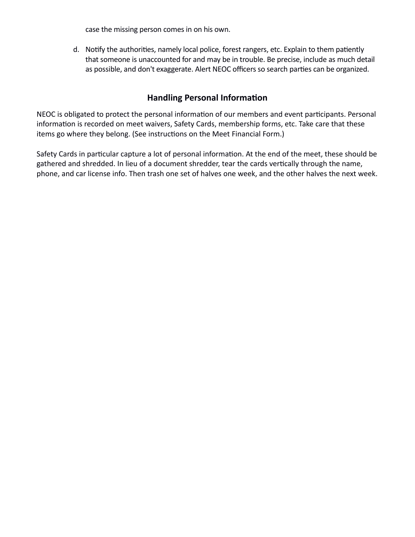case the missing person comes in on his own.

d. Notify the authorities, namely local police, forest rangers, etc. Explain to them patiently that someone is unaccounted for and may be in trouble. Be precise, include as much detail as possible, and don't exaggerate. Alert NEOC officers so search parties can be organized.

## <span id="page-14-0"></span>**Handling Personal Information**

NEOC is obligated to protect the personal information of our members and event participants. Personal information is recorded on meet waivers, Safety Cards, membership forms, etc. Take care that these items go where they belong. (See instructions on the Meet Financial Form.)

Safety Cards in particular capture a lot of personal information. At the end of the meet, these should be gathered and shredded. In lieu of a document shredder, tear the cards vertically through the name, phone, and car license info. Then trash one set of halves one week, and the other halves the next week.